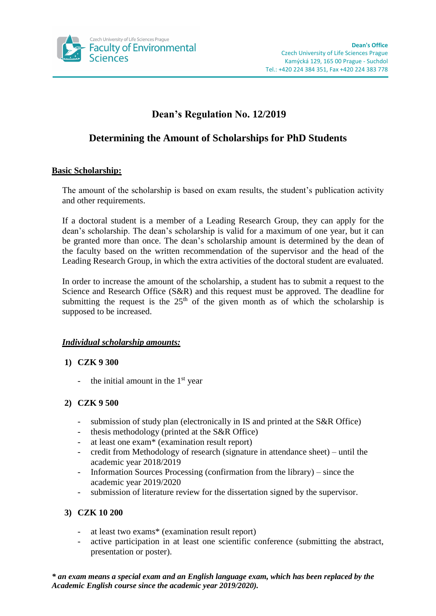

# **Dean's Regulation No. 12/2019**

## **Determining the Amount of Scholarships for PhD Students**

### **Basic Scholarship:**

The amount of the scholarship is based on exam results, the student's publication activity and other requirements.

If a doctoral student is a member of a Leading Research Group, they can apply for the dean's scholarship. The dean's scholarship is valid for a maximum of one year, but it can be granted more than once. The dean's scholarship amount is determined by the dean of the faculty based on the written recommendation of the supervisor and the head of the Leading Research Group, in which the extra activities of the doctoral student are evaluated.

In order to increase the amount of the scholarship, a student has to submit a request to the Science and Research Office (S&R) and this request must be approved. The deadline for submitting the request is the  $25<sup>th</sup>$  of the given month as of which the scholarship is supposed to be increased.

#### *Individual scholarship amounts:*

#### **1) CZK 9 300**

- the initial amount in the  $1<sup>st</sup>$  year

## **2) CZK 9 500**

- submission of study plan (electronically in IS and printed at the S&R Office)
- thesis methodology (printed at the S&R Office)
- at least one exam\* (examination result report)
- credit from Methodology of research (signature in attendance sheet) until the academic year 2018/2019
- Information Sources Processing (confirmation from the library) since the academic year 2019/2020
- submission of literature review for the dissertation signed by the supervisor.

## **3) CZK 10 200**

- at least two exams\* (examination result report)
- active participation in at least one scientific conference (submitting the abstract, presentation or poster).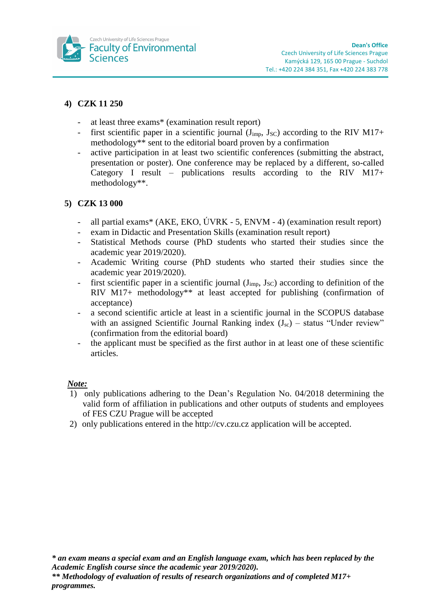

## **4) CZK 11 250**

- at least three exams\* (examination result report)
- first scientific paper in a scientific journal  $(J_{\text{imp}}, J_{\text{SC}})$  according to the RIV M17+ methodology\*\* sent to the editorial board proven by a confirmation
- active participation in at least two scientific conferences (submitting the abstract, presentation or poster). One conference may be replaced by a different, so-called Category I result – publications results according to the RIV M17+ methodology\*\*.

## **5) CZK 13 000**

- all partial exams\* (AKE, EKO, ÚVRK 5, ENVM 4) (examination result report)
- exam in Didactic and Presentation Skills (examination result report)
- Statistical Methods course (PhD students who started their studies since the academic year 2019/2020).
- Academic Writing course (PhD students who started their studies since the academic year 2019/2020).
- first scientific paper in a scientific journal  $(J_{\text{imp}}, J_{\text{SC}})$  according to definition of the RIV M17+ methodology\*\* at least accepted for publishing (confirmation of acceptance)
- a second scientific article at least in a scientific journal in the SCOPUS database with an assigned Scientific Journal Ranking index  $(J_{\rm sc})$  – status "Under review" (confirmation from the editorial board)
- the applicant must be specified as the first author in at least one of these scientific articles.

#### *Note:*

- 1) only publications adhering to the Dean's Regulation No. 04/2018 determining the valid form of affiliation in publications and other outputs of students and employees of FES CZU Prague will be accepted
- 2) only publications entered in the http://cv.czu.cz application will be accepted.